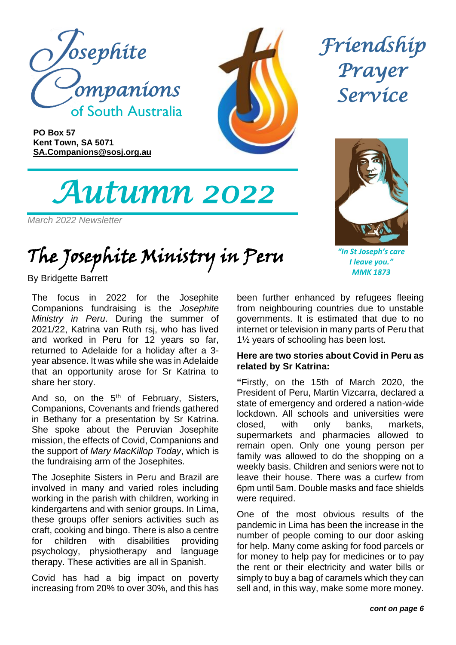

**PO Box 57 Kent Town, SA 5071 [SA.Companions@sosj.org.au](mailto:SA.Companions@sosj.org.au)**

*Autumn 2022* 

*March 2022 Newsletter*

The Josephite Ministry in Peru

By Bridgette Barrett

The focus in 2022 for the Josephite Companions fundraising is the *Josephite Ministry in Peru*. During the summer of 2021/22, Katrina van Ruth rsj, who has lived and worked in Peru for 12 years so far, returned to Adelaide for a holiday after a 3 year absence. It was while she was in Adelaide that an opportunity arose for Sr Katrina to share her story.

And so, on the  $5<sup>th</sup>$  of February, Sisters, Companions, Covenants and friends gathered in Bethany for a presentation by Sr Katrina. She spoke about the Peruvian Josephite mission, the effects of Covid, Companions and the support of *Mary MacKillop Today*, which is the fundraising arm of the Josephites.

The Josephite Sisters in Peru and Brazil are involved in many and varied roles including working in the parish with children, working in kindergartens and with senior groups. In Lima, these groups offer seniors activities such as craft, cooking and bingo. There is also a centre for children with disabilities providing psychology, physiotherapy and language therapy. These activities are all in Spanish.

Covid has had a big impact on poverty increasing from 20% to over 30%, and this has *Friendship Prayer Service* 



*"In St Joseph's care I leave you." MMK 1873*

been further enhanced by refugees fleeing from neighbouring countries due to unstable governments. It is estimated that due to no internet or television in many parts of Peru that 1½ years of schooling has been lost.

#### **Here are two stories about Covid in Peru as related by Sr Katrina:**

**"**Firstly, on the 15th of March 2020, the President of Peru, Martin Vizcarra, declared a state of emergency and ordered a nation-wide lockdown. All schools and universities were closed, with only banks, markets, supermarkets and pharmacies allowed to remain open. Only one young person per family was allowed to do the shopping on a weekly basis. Children and seniors were not to leave their house. There was a curfew from 6pm until 5am. Double masks and face shields were required.

One of the most obvious results of the pandemic in Lima has been the increase in the number of people coming to our door asking for help. Many come asking for food parcels or for money to help pay for medicines or to pay the rent or their electricity and water bills or simply to buy a bag of caramels which they can sell and, in this way, make some more money.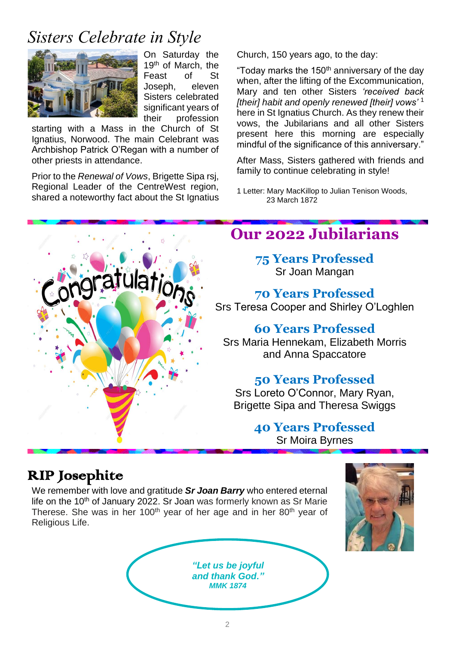### *Sisters Celebrate in Style*



On Saturday the 19<sup>th</sup> of March, the Feast of St Joseph, eleven Sisters celebrated significant years of their profession

starting with a Mass in the Church of St Ignatius, Norwood. The main Celebrant was Archbishop Patrick O'Regan with a number of other priests in attendance.

Prior to the *Renewal of Vows*, Brigette Sipa rsj, Regional Leader of the CentreWest region, shared a noteworthy fact about the St Ignatius Church, 150 years ago, to the day:

"Today marks the 150<sup>th</sup> anniversary of the day when, after the lifting of the Excommunication, Mary and ten other Sisters *'received back [their] habit and openly renewed [their] vows'* <sup>1</sup> here in St Ignatius Church. As they renew their vows, the Jubilarians and all other Sisters present here this morning are especially mindful of the significance of this anniversary."

After Mass, Sisters gathered with friends and family to continue celebrating in style!

1 Letter: Mary MacKillop to Julian Tenison Woods, 23 March 1872



#### RIP Josephite

We remember with love and gratitude *Sr Joan Barry* who entered eternal life on the 10<sup>th</sup> of January 2022. Sr Joan was formerly known as Sr Marie Therese. She was in her 100<sup>th</sup> year of her age and in her 80<sup>th</sup> year of Religious Life.

> *"Let us be joyful and thank God." MMK 1874*

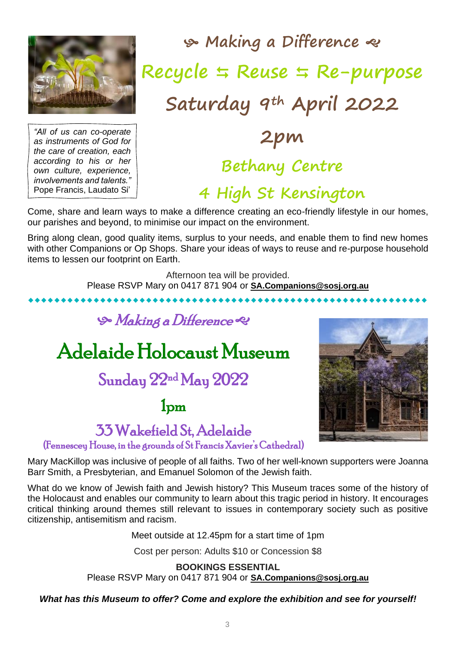

 **Making a Difference Recycle Reuse Re-purpose Saturday 9th April 2022**

*"All of us can co-operate as instruments of God for the care of creation, each according to his or her own culture, experience, involvements and talents."* Pope Francis, Laudato Si'

# **2pm Bethany Centre**

### **4 High St Kensington**

Come, share and learn ways to make a difference creating an eco-friendly lifestyle in our homes, our parishes and beyond, to minimise our impact on the environment.

Bring along clean, good quality items, surplus to your needs, and enable them to find new homes with other Companions or Op Shops. Share your ideas of ways to reuse and re-purpose household items to lessen our footprint on Earth.

Afternoon tea will be provided.

Please RSVP Mary on 0417 871 904 or **[SA.Companions@sosj.org.au](mailto:SA.Companions@sosj.org.au)** 

### **S** Making a Difference

## Adelaide Holocaust Museum

### Sunday 22nd May 2022

1pm



## 33 Wakefield St, Adelaide

(Fennescey House, in the grounds of St Francis Xavier's Cathedral)

Mary MacKillop was inclusive of people of all faiths. Two of her well-known supporters were Joanna Barr Smith, a Presbyterian, and Emanuel Solomon of the Jewish faith.

What do we know of Jewish faith and Jewish history? This Museum traces some of the history of the Holocaust and enables our community to learn about this tragic period in history. It encourages critical thinking around themes still relevant to issues in contemporary society such as positive citizenship, antisemitism and racism.

Meet outside at 12.45pm for a start time of 1pm

Cost per person: Adults \$10 or Concession \$8

**BOOKINGS ESSENTIAL** Please RSVP Mary on 0417 871 904 or **[SA.Companions@sosj.org.au](mailto:SA.Companions@sosj.org.au)**

#### *What has this Museum to offer? Come and explore the exhibition and see for yourself!*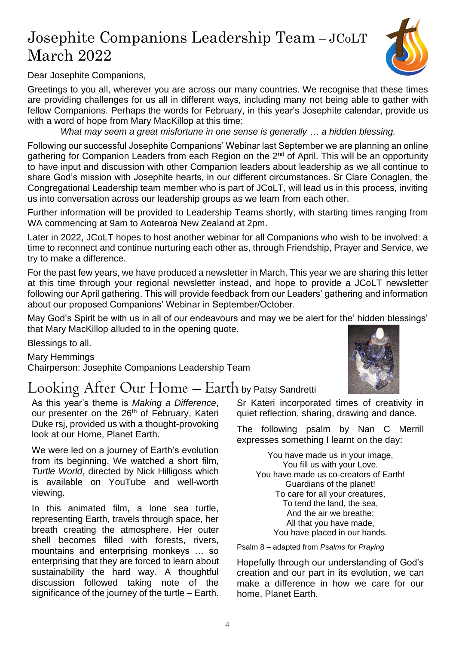### Josephite Companions Leadership Team – JCoLT March 2022



Dear Josephite Companions,

Greetings to you all, wherever you are across our many countries. We recognise that these times are providing challenges for us all in different ways, including many not being able to gather with fellow Companions. Perhaps the words for February, in this year's Josephite calendar, provide us with a word of hope from Mary MacKillop at this time:

*What may seem a great misfortune in one sense is generally … a hidden blessing.*

Following our successful Josephite Companions' Webinar last September we are planning an online gathering for Companion Leaders from each Region on the 2<sup>nd</sup> of April. This will be an opportunity to have input and discussion with other Companion leaders about leadership as we all continue to share God's mission with Josephite hearts, in our different circumstances. Sr Clare Conaglen, the Congregational Leadership team member who is part of JCoLT, will lead us in this process, inviting us into conversation across our leadership groups as we learn from each other.

Further information will be provided to Leadership Teams shortly, with starting times ranging from WA commencing at 9am to Aotearoa New Zealand at 2pm.

Later in 2022, JCoLT hopes to host another webinar for all Companions who wish to be involved: a time to reconnect and continue nurturing each other as, through Friendship, Prayer and Service, we try to make a difference.

For the past few years, we have produced a newsletter in March. This year we are sharing this letter at this time through your regional newsletter instead, and hope to provide a JCoLT newsletter following our April gathering. This will provide feedback from our Leaders' gathering and information about our proposed Companions' Webinar in September/October.

May God's Spirit be with us in all of our endeavours and may we be alert for the' hidden blessings' that Mary MacKillop alluded to in the opening quote.

Blessings to all.

Mary Hemmings Chairperson: Josephite Companions Leadership Team

#### Looking After Our Home – Earth by Patsy Sandretti

As this year's theme is *Making a Difference*, our presenter on the 26<sup>th</sup> of February, Kateri Duke rsj, provided us with a thought-provoking look at our Home, Planet Earth.

We were led on a journey of Earth's evolution from its beginning. We watched a short film, *Turtle World*, directed by Nick Hilligoss which is available on YouTube and well-worth viewing.

In this animated film, a lone sea turtle, representing Earth, travels through space, her breath creating the atmosphere. Her outer shell becomes filled with forests, rivers, mountains and enterprising monkeys … so enterprising that they are forced to learn about sustainability the hard way. A thoughtful discussion followed taking note of the significance of the journey of the turtle – Earth.



Sr Kateri incorporated times of creativity in quiet reflection, sharing, drawing and dance.

The following psalm by Nan C Merrill expresses something I learnt on the day:

You have made us in your image, You fill us with your Love. You have made us co-creators of Earth! Guardians of the planet! To care for all your creatures, To tend the land, the sea, And the air we breathe; All that you have made, You have placed in our hands.

Psalm 8 – adapted from *Psalms for Praying*

Hopefully through our understanding of God's creation and our part in its evolution, we can make a difference in how we care for our home, Planet Earth.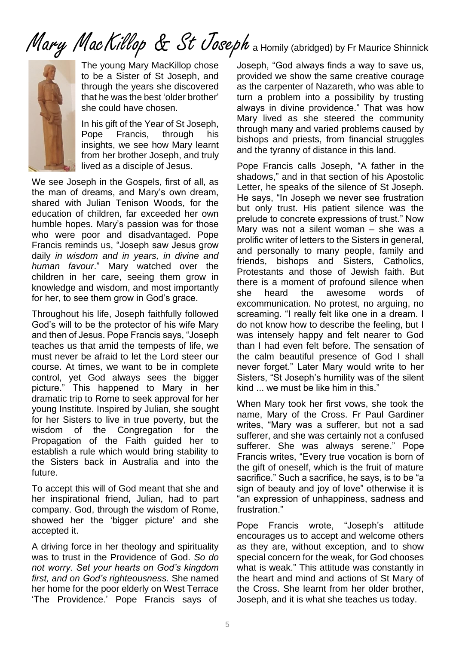# Mary MacKillop & St Joseph a Homily (abridged) by Fr Maurice Shinnick



The young Mary MacKillop chose to be a Sister of St Joseph, and through the years she discovered that he was the best 'older brother' she could have chosen.

In his gift of the Year of St Joseph, Pope Francis, through his insights, we see how Mary learnt from her brother Joseph, and truly lived as a disciple of Jesus.

We see Joseph in the Gospels, first of all, as the man of dreams, and Mary's own dream, shared with Julian Tenison Woods, for the education of children, far exceeded her own humble hopes. Mary's passion was for those who were poor and disadvantaged. Pope Francis reminds us, "Joseph saw Jesus grow daily *in wisdom and in years, in divine and human favour*." Mary watched over the children in her care, seeing them grow in knowledge and wisdom, and most importantly for her, to see them grow in God's grace.

Throughout his life, Joseph faithfully followed God's will to be the protector of his wife Mary and then of Jesus. Pope Francis says, "Joseph teaches us that amid the tempests of life, we must never be afraid to let the Lord steer our course. At times, we want to be in complete control, yet God always sees the bigger picture." This happened to Mary in her dramatic trip to Rome to seek approval for her young Institute. Inspired by Julian, she sought for her Sisters to live in true poverty, but the wisdom of the Congregation for the Propagation of the Faith guided her to establish a rule which would bring stability to the Sisters back in Australia and into the future.

To accept this will of God meant that she and her inspirational friend, Julian, had to part company. God, through the wisdom of Rome, showed her the 'bigger picture' and she accepted it.

A driving force in her theology and spirituality was to trust in the Providence of God. *So do not worry. Set your hearts on God's kingdom first, and on God's righteousness.* She named her home for the poor elderly on West Terrace 'The Providence.' Pope Francis says of

Joseph, "God always finds a way to save us, provided we show the same creative courage as the carpenter of Nazareth, who was able to turn a problem into a possibility by trusting always in divine providence." That was how Mary lived as she steered the community through many and varied problems caused by bishops and priests, from financial struggles and the tyranny of distance in this land.

Pope Francis calls Joseph, "A father in the shadows," and in that section of his Apostolic Letter, he speaks of the silence of St Joseph. He says, "In Joseph we never see frustration but only trust. His patient silence was the prelude to concrete expressions of trust." Now Mary was not a silent woman – she was a prolific writer of letters to the Sisters in general, and personally to many people, family and friends, bishops and Sisters, Catholics, Protestants and those of Jewish faith. But there is a moment of profound silence when she heard the awesome words of excommunication. No protest, no arguing, no screaming. "I really felt like one in a dream. I do not know how to describe the feeling, but I was intensely happy and felt nearer to God than I had even felt before. The sensation of the calm beautiful presence of God I shall never forget." Later Mary would write to her Sisters, "St Joseph's humility was of the silent kind ... we must be like him in this."

When Mary took her first vows, she took the name, Mary of the Cross. Fr Paul Gardiner writes, "Mary was a sufferer, but not a sad sufferer, and she was certainly not a confused sufferer. She was always serene." Pope Francis writes, "Every true vocation is born of the gift of oneself, which is the fruit of mature sacrifice." Such a sacrifice, he says, is to be "a sign of beauty and joy of love" otherwise it is "an expression of unhappiness, sadness and frustration<sup>"</sup>

Pope Francis wrote, "Joseph's attitude encourages us to accept and welcome others as they are, without exception, and to show special concern for the weak, for God chooses what is weak." This attitude was constantly in the heart and mind and actions of St Mary of the Cross. She learnt from her older brother, Joseph, and it is what she teaches us today.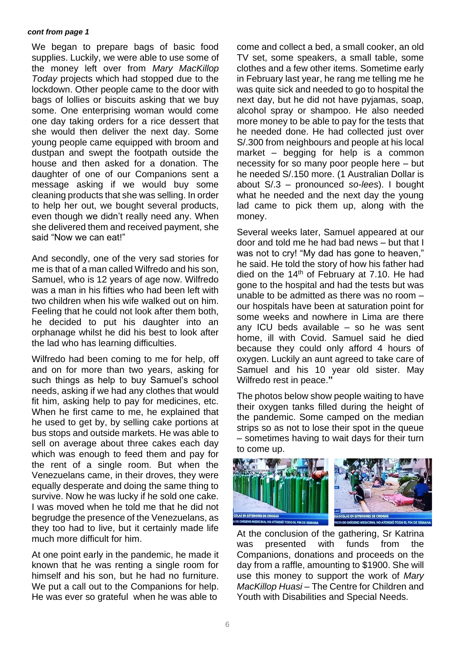#### *cont from page 1*

We began to prepare bags of basic food supplies. Luckily, we were able to use some of the money left over from *Mary MacKillop Today* projects which had stopped due to the lockdown. Other people came to the door with bags of lollies or biscuits asking that we buy some. One enterprising woman would come one day taking orders for a rice dessert that she would then deliver the next day. Some young people came equipped with broom and dustpan and swept the footpath outside the house and then asked for a donation. The daughter of one of our Companions sent a message asking if we would buy some cleaning products that she was selling. In order to help her out, we bought several products, even though we didn't really need any. When she delivered them and received payment, she said "Now we can eat!"

And secondly, one of the very sad stories for me is that of a man called Wilfredo and his son, Samuel, who is 12 years of age now. Wilfredo was a man in his fifties who had been left with two children when his wife walked out on him. Feeling that he could not look after them both, he decided to put his daughter into an orphanage whilst he did his best to look after the lad who has learning difficulties.

Wilfredo had been coming to me for help, off and on for more than two years, asking for such things as help to buy Samuel's school needs, asking if we had any clothes that would fit him, asking help to pay for medicines, etc. When he first came to me, he explained that he used to get by, by selling cake portions at bus stops and outside markets. He was able to sell on average about three cakes each day which was enough to feed them and pay for the rent of a single room. But when the Venezuelans came, in their droves, they were equally desperate and doing the same thing to survive. Now he was lucky if he sold one cake. I was moved when he told me that he did not begrudge the presence of the Venezuelans, as they too had to live, but it certainly made life much more difficult for him.

At one point early in the pandemic, he made it known that he was renting a single room for himself and his son, but he had no furniture. We put a call out to the Companions for help. He was ever so grateful when he was able to

come and collect a bed, a small cooker, an old TV set, some speakers, a small table, some clothes and a few other items. Sometime early in February last year, he rang me telling me he was quite sick and needed to go to hospital the next day, but he did not have pyjamas, soap, alcohol spray or shampoo. He also needed more money to be able to pay for the tests that he needed done. He had collected just over S/.300 from neighbours and people at his local market – begging for help is a common necessity for so many poor people here – but he needed S/.150 more. (1 Australian Dollar is about S/.3 – pronounced *so-lees*). I bought what he needed and the next day the young lad came to pick them up, along with the money.

Several weeks later, Samuel appeared at our door and told me he had bad news – but that I was not to cry! "My dad has gone to heaven," he said. He told the story of how his father had died on the 14<sup>th</sup> of February at 7.10. He had gone to the hospital and had the tests but was unable to be admitted as there was no room – our hospitals have been at saturation point for some weeks and nowhere in Lima are there any ICU beds available – so he was sent home, ill with Covid. Samuel said he died because they could only afford 4 hours of oxygen. Luckily an aunt agreed to take care of Samuel and his 10 year old sister. May Wilfredo rest in peace.**"**

The photos below show people waiting to have their oxygen tanks filled during the height of the pandemic. Some camped on the median strips so as not to lose their spot in the queue – sometimes having to wait days for their turn to come up.



At the conclusion of the gathering, Sr Katrina was presented with funds from the Companions, donations and proceeds on the day from a raffle, amounting to \$1900. She will use this money to support the work of *Mary MacKillop Huasi* – The Centre for Children and Youth with Disabilities and Special Needs.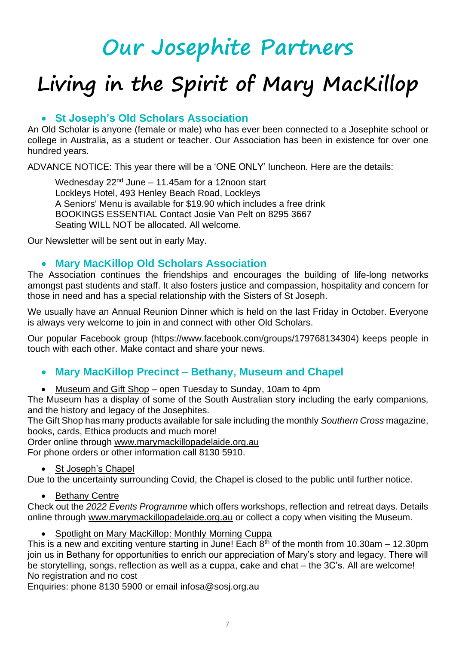# **Our Josephite Partners**

# **Living in the Spirit of Mary MacKillop**

#### • **St Joseph's Old Scholars Association**

An Old Scholar is anyone (female or male) who has ever been connected to a Josephite school or college in Australia, as a student or teacher. Our Association has been in existence for over one hundred years.

ADVANCE NOTICE: This year there will be a 'ONE ONLY' luncheon. Here are the details:

Wednesday  $22<sup>nd</sup>$  June – 11.45am for a 12noon start Lockleys Hotel, 493 Henley Beach Road, Lockleys A Seniors' Menu is available for \$19.90 which includes a free drink BOOKINGS ESSENTIAL Contact Josie Van Pelt on 8295 3667 Seating WILL NOT be allocated. All welcome.

Our Newsletter will be sent out in early May.

#### • **Mary MacKillop Old Scholars Association**

The Association continues the friendships and encourages the building of life-long networks amongst past students and staff. It also fosters justice and compassion, hospitality and concern for those in need and has a special relationship with the Sisters of St Joseph.

We usually have an Annual Reunion Dinner which is held on the last Friday in October. Everyone is always very welcome to join in and connect with other Old Scholars.

Our popular Facebook group [\(https://www.facebook.com/groups/179768134304\)](https://www.facebook.com/groups/179768134304) keeps people in touch with each other. Make contact and share your news.

#### • **Mary MacKillop Precinct – Bethany, Museum and Chapel**

• Museum and Gift Shop – open Tuesday to Sunday, 10am to 4pm

The Museum has a display of some of the South Australian story including the early companions, and the history and legacy of the Josephites.

The Gift Shop has many products available for sale including the monthly *Southern Cross* magazine, books, cards, Ethica products and much more!

Order online through [www.marymackillopadelaide.org.au](http://www.marymackillopadelaide.org.au/)

For phone orders or other information call 8130 5910.

• St Joseph's Chapel

Due to the uncertainty surrounding Covid, the Chapel is closed to the public until further notice.

• Bethany Centre

Check out the *2022 Events Programme* which offers workshops, reflection and retreat days. Details online through [www.marymackillopadelaide.org.au](http://www.marymackillopadelaide.org.au/) or collect a copy when visiting the Museum.

• Spotlight on Mary MacKillop: Monthly Morning Cuppa

This is a new and exciting venture starting in June! Each  $8<sup>th</sup>$  of the month from 10.30am – 12.30pm join us in Bethany for opportunities to enrich our appreciation of Mary's story and legacy. There will be storytelling, songs, reflection as well as a **c**uppa, **c**ake and **c**hat – the 3C's. All are welcome! No registration and no cost

Enquiries: phone 8130 5900 or email [infosa@sosj.org.au](mailto:infosa@sosj.org.au)